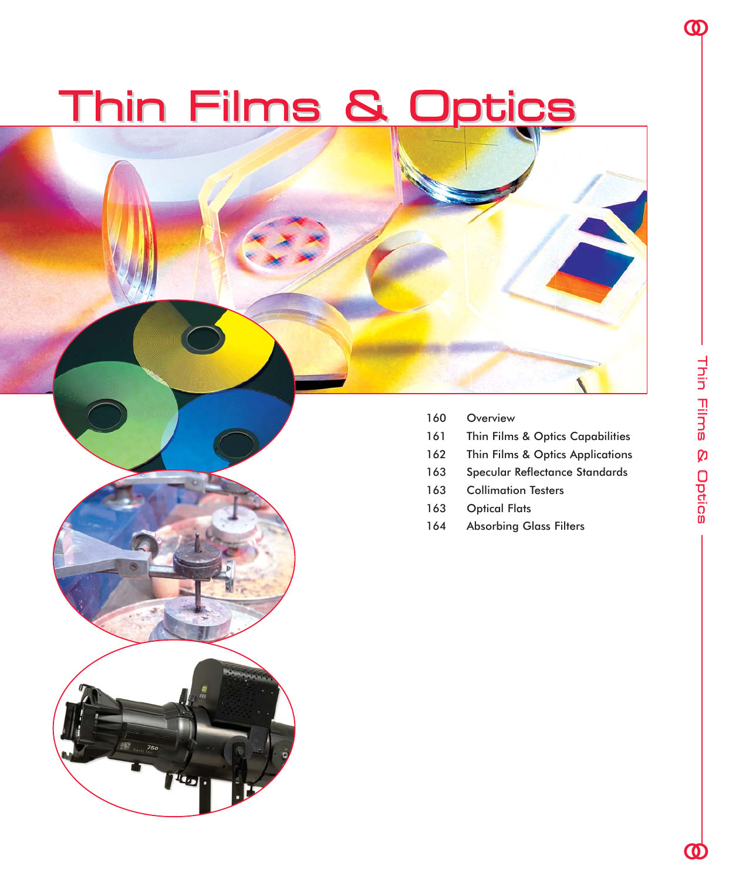# Thin Films & Optics

ilg<sub>o</sub>

- 160 Overview
- 161 Thin Films & Optics Capabilities
- 162 Thin Films & Optics Applications
- 163 Specular Reflectance Standards
- 163 Collimation Testers
- 163 Optical Flats
- 164 Absorbing Glass Filters

<u><mark>ማ</mark></u>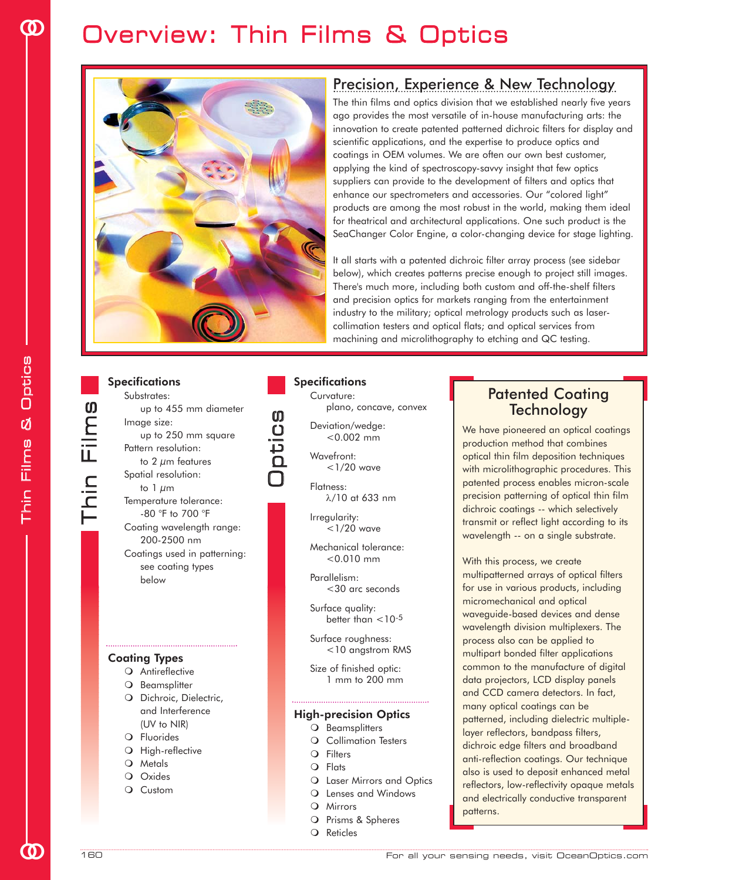# Overview: Thin Films & Optics



### Precision, Experience & New Technology

The thin films and optics division that we established nearly five years ago provides the most versatile of in-house manufacturing arts: the innovation to create patented patterned dichroic filters for display and scientific applications, and the expertise to produce optics and coatings in OEM volumes. We are often our own best customer, applying the kind of spectroscopy-savvy insight that few optics suppliers can provide to the development of filters and optics that enhance our spectrometers and accessories. Our "colored light" products are among the most robust in the world, making them ideal for theatrical and architectural applications. One such product is the SeaChanger Color Engine, a color-changing device for stage lighting.

It all starts with a patented dichroic filter array process (see sidebar below), which creates patterns precise enough to project still images. There's much more, including both custom and off-the-shelf filters and precision optics for markets ranging from the entertainment industry to the military; optical metrology products such as lasercollimation testers and optical flats; and optical services from machining and microlithography to etching and QC testing.

#### **Specifications** Substrates:

| ,,,,,,,,,,,,                 |
|------------------------------|
| up to 455 mm diameter        |
| Image size:                  |
| up to 250 mm square          |
| Pattern resolution:          |
| to 2 $\mu$ m features        |
| Spatial resolution:          |
| to 1 $\mu$ m                 |
| Temperature tolerance:       |
| -80 °F to 700 °F             |
| Coating wavelength range:    |
| 200-2500 nm                  |
| Coatings used in patterning: |
|                              |
| see coating types            |
| below                        |

### Coating Types

- O Antireflective
- O Beamsplitter
- O Dichroic, Dielectric, and Interference (UV to NIR)
- O Fluorides
- O High-reflective
- O Metals
- O Oxides
- O Custom

### **Specifications**

Curvature: plano, concave, convex

Deviation/wedge: <0.002 mm

#### Wavefront:  $<$ 1/20 wave

O $\mathbf 0$ 

ں<br>ت

s

Flatness: λ/10 at 633 nm

Irregularity: <1/20 wave

Mechanical tolerance: <0.010 mm

Parallelism: <30 arc seconds

Surface quality: better than  $<$  10<sup>-5</sup>

Surface roughness: <10 angstrom RMS

Size of finished optic: 1 mm to 200 mm

#### High-precision Optics

- O Beamsplitters
	- O Collimation Testers
	- Filters
	- Flats
	- O Laser Mirrors and Optics
	- O Lenses and Windows
	- O Mirrors
	- O Prisms & Spheres
	- O Reticles

### Patented Coating **Technology**

We have pioneered an optical coatings production method that combines optical thin film deposition techniques with microlithographic procedures. This patented process enables micron-scale precision patterning of optical thin film dichroic coatings -- which selectively transmit or reflect light according to its wavelength -- on a single substrate.

With this process, we create multipatterned arrays of optical filters for use in various products, including micromechanical and optical waveguide-based devices and dense wavelength division multiplexers. The process also can be applied to multipart bonded filter applications common to the manufacture of digital data projectors, LCD display panels and CCD camera detectors. In fact, many optical coatings can be patterned, including dielectric multiplelayer reflectors, bandpass filters, dichroic edge filters and broadband anti-reflection coatings. Our technique also is used to deposit enhanced metal reflectors, low-reflectivity opaque metals and electrically conductive transparent patterns.

oo

 $\vdash$ 

hin Film

s

**OD**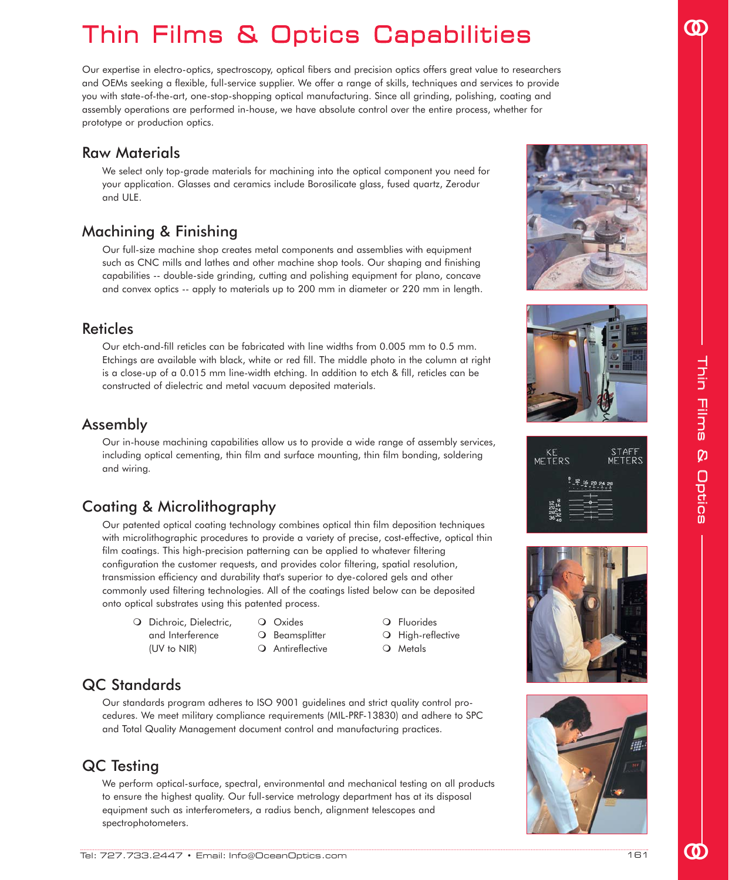# Thin Films & Optics Capabilities

Our expertise in electro-optics, spectroscopy, optical fibers and precision optics offers great value to researchers and OEMs seeking a flexible, full-service supplier. We offer a range of skills, techniques and services to provide you with state-of-the-art, one-stop-shopping optical manufacturing. Since all grinding, polishing, coating and assembly operations are performed in-house, we have absolute control over the entire process, whether for prototype or production optics.

### Raw Materials

We select only top-grade materials for machining into the optical component you need for your application. Glasses and ceramics include Borosilicate glass, fused quartz, Zerodur and ULE.

# Machining & Finishing

Our full-size machine shop creates metal components and assemblies with equipment such as CNC mills and lathes and other machine shop tools. Our shaping and finishing capabilities -- double-side grinding, cutting and polishing equipment for plano, concave and convex optics -- apply to materials up to 200 mm in diameter or 220 mm in length.

### Reticles

Our etch-and-fill reticles can be fabricated with line widths from 0.005 mm to 0.5 mm. Etchings are available with black, white or red fill. The middle photo in the column at right is a close-up of a 0.015 mm line-width etching. In addition to etch & fill, reticles can be constructed of dielectric and metal vacuum deposited materials.

### Assembly

Our in-house machining capabilities allow us to provide a wide range of assembly services, including optical cementing, thin film and surface mounting, thin film bonding, soldering and wiring.

# Coating & Microlithography

Our patented optical coating technology combines optical thin film deposition techniques with microlithographic procedures to provide a variety of precise, cost-effective, optical thin film coatings. This high-precision patterning can be applied to whatever filtering configuration the customer requests, and provides color filtering, spatial resolution, transmission efficiency and durability that's superior to dye-colored gels and other commonly used filtering technologies. All of the coatings listed below can be deposited onto optical substrates using this patented process.

- O Dichroic, Dielectric, and Interference (UV to NIR)
- O Oxides
- 
- O Beamsplitter O Antireflective
- O Fluorides O High-reflective
- O Metals

# QC Standards

Our standards program adheres to ISO 9001 guidelines and strict quality control procedures. We meet military compliance requirements (MIL-PRF-13830) and adhere to SPC and Total Quality Management document control and manufacturing practices.

# QC Testing

We perform optical-surface, spectral, environmental and mechanical testing on all products to ensure the highest quality. Our full-service metrology department has at its disposal equipment such as interferometers, a radius bench, alignment telescopes and spectrophotometers.









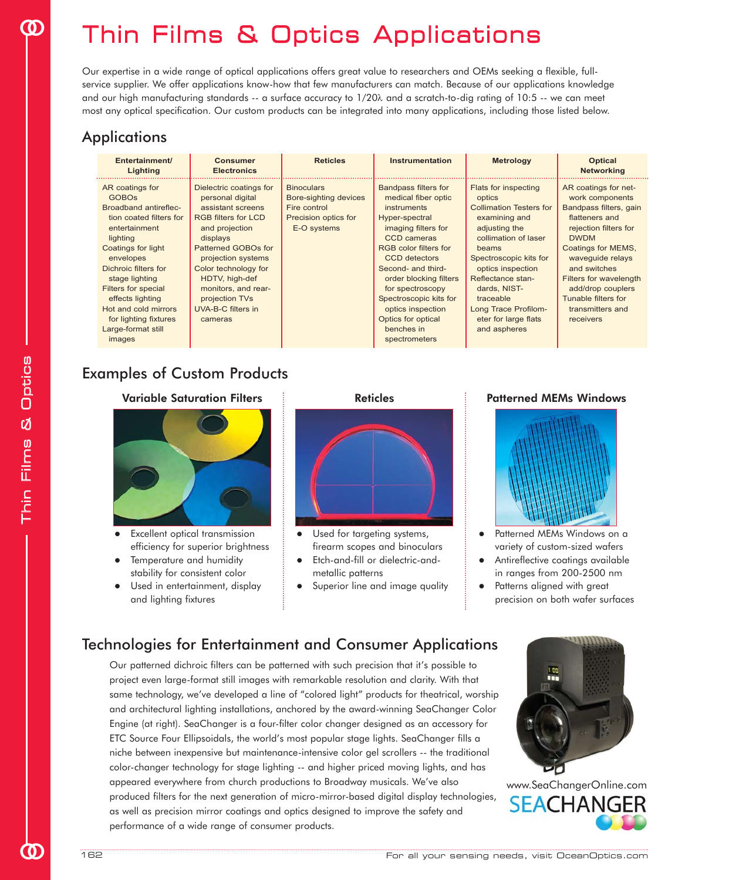# Thin Films & Optics Applications

Our expertise in a wide range of optical applications offers great value to researchers and OEMs seeking a flexible, fullservice supplier. We offer applications know-how that few manufacturers can match. Because of our applications knowledge and our high manufacturing standards -- a surface accuracy to 1/20λ and a scratch-to-dig rating of 10:5 -- we can meet most any optical specification. Our custom products can be integrated into many applications, including those listed below.

# Applications

| Entertainment/<br>Lighting                                                                                                                                                                                                                                                                                                       | <b>Consumer</b><br><b>Electronics</b>                                                                                                                                                                                                                                                         | <b>Reticles</b>                                                                                   | Instrumentation                                                                                                                                                                                                                                                                                                                                                  | <b>Metrology</b>                                                                                                                                                                                                                                                                                            | <b>Optical</b><br><b>Networking</b>                                                                                                                                                                                                                                                                 |
|----------------------------------------------------------------------------------------------------------------------------------------------------------------------------------------------------------------------------------------------------------------------------------------------------------------------------------|-----------------------------------------------------------------------------------------------------------------------------------------------------------------------------------------------------------------------------------------------------------------------------------------------|---------------------------------------------------------------------------------------------------|------------------------------------------------------------------------------------------------------------------------------------------------------------------------------------------------------------------------------------------------------------------------------------------------------------------------------------------------------------------|-------------------------------------------------------------------------------------------------------------------------------------------------------------------------------------------------------------------------------------------------------------------------------------------------------------|-----------------------------------------------------------------------------------------------------------------------------------------------------------------------------------------------------------------------------------------------------------------------------------------------------|
| AR coatings for<br><b>GOBOS</b><br>Broadband antireflec-<br>tion coated filters for<br>entertainment<br>lighting<br>Coatings for light<br>envelopes<br>Dichroic filters for<br>stage lighting<br><b>Filters for special</b><br>effects lighting<br>Hot and cold mirrors<br>for lighting fixtures<br>Large-format still<br>images | Dielectric coatings for<br>personal digital<br>assistant screens<br><b>RGB filters for LCD</b><br>and projection<br>displays<br>Patterned GOBOs for<br>projection systems<br>Color technology for<br>HDTV, high-def<br>monitors, and rear-<br>projection TVs<br>UVA-B-C filters in<br>cameras | <b>Binoculars</b><br>Bore-sighting devices<br>Fire control<br>Precision optics for<br>E-O systems | <b>Bandpass filters for</b><br>medical fiber optic<br>instruments<br>Hyper-spectral<br>imaging filters for<br><b>CCD</b> cameras<br><b>RGB</b> color filters for<br><b>CCD</b> detectors<br>Second- and third-<br>order blocking filters<br>for spectroscopy<br>Spectroscopic kits for<br>optics inspection<br>Optics for optical<br>benches in<br>spectrometers | <b>Flats for inspecting</b><br>optics<br><b>Collimation Testers for</b><br>examining and<br>adjusting the<br>collimation of laser<br>beams<br>Spectroscopic kits for<br>optics inspection<br>Reflectance stan-<br>dards, NIST-<br>traceable<br>Long Trace Profilom-<br>eter for large flats<br>and aspheres | AR coatings for net-<br>work components<br>Bandpass filters, gain<br>flatteners and<br>rejection filters for<br><b>DWDM</b><br>Coatings for MEMS,<br>wavequide relays<br>and switches<br><b>Filters for wavelength</b><br>add/drop couplers<br>Tunable filters for<br>transmitters and<br>receivers |

# Examples of Custom Products



- Excellent optical transmission efficiency for superior brightness
- Temperature and humidity stability for consistent color
- Used in entertainment, display and lighting fixtures



- Used for targeting systems, firearm scopes and binoculars
- Etch-and-fill or dielectric-andmetallic patterns
- Superior line and image quality



- Patterned MEMs Windows on a variety of custom-sized wafers
- Antireflective coatings available in ranges from 200-2500 nm
- Patterns aligned with great precision on both wafer surfaces

# Technologies for Entertainment and Consumer Applications

Our patterned dichroic filters can be patterned with such precision that it's possible to project even large-format still images with remarkable resolution and clarity. With that same technology, we've developed a line of "colored light" products for theatrical, worship and architectural lighting installations, anchored by the award-winning SeaChanger Color Engine (at right). SeaChanger is a four-filter color changer designed as an accessory for ETC Source Four Ellipsoidals, the world's most popular stage lights. SeaChanger fills a niche between inexpensive but maintenance-intensive color gel scrollers -- the traditional color-changer technology for stage lighting -- and higher priced moving lights, and has appeared everywhere from church productions to Broadway musicals. We've also produced filters for the next generation of micro-mirror-based digital display technologies, as well as precision mirror coatings and optics designed to improve the safety and performance of a wide range of consumer products.



H

oo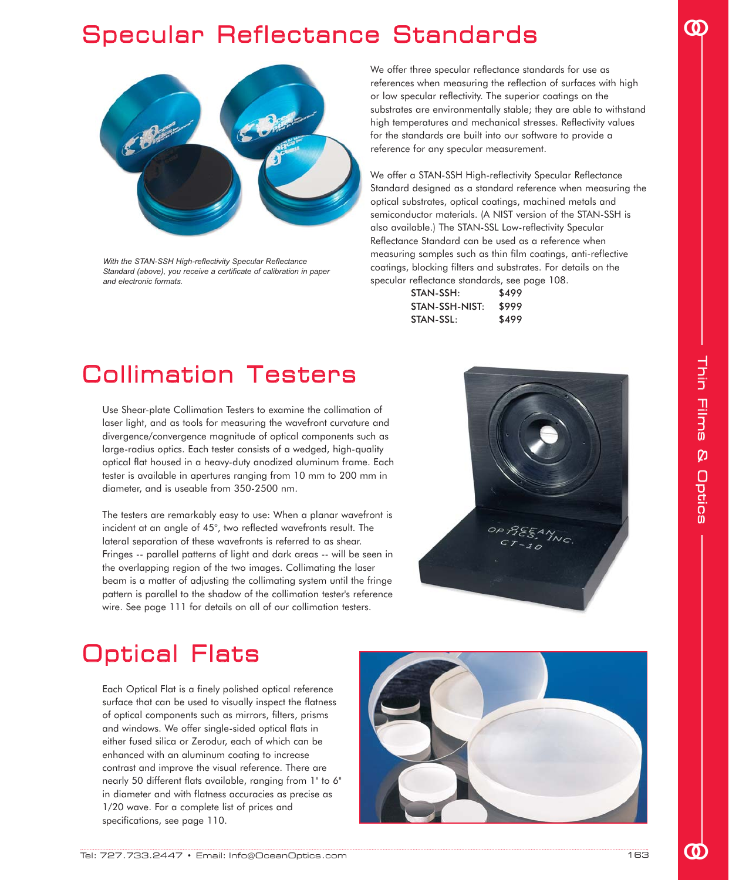# Specular Reflectance Standards



With the STAN-SSH High-reflectivity Specular Reflectance Standard (above), you receive a certificate of calibration in paper and electronic formats.

We offer three specular reflectance standards for use as references when measuring the reflection of surfaces with high or low specular reflectivity. The superior coatings on the substrates are environmentally stable; they are able to withstand high temperatures and mechanical stresses. Reflectivity values for the standards are built into our software to provide a reference for any specular measurement.

We offer a STAN-SSH High-reflectivity Specular Reflectance Standard designed as a standard reference when measuring the optical substrates, optical coatings, machined metals and semiconductor materials. (A NIST version of the STAN-SSH is also available.) The STAN-SSL Low-reflectivity Specular Reflectance Standard can be used as a reference when measuring samples such as thin film coatings, anti-reflective coatings, blocking filters and substrates. For details on the specular reflectance standards, see page 108.

| STAN-SSH:      | \$499 |
|----------------|-------|
| STAN-SSH-NIST: | \$999 |
| STAN-SSL:      | \$499 |

# Collimation Testers

Use Shear-plate Collimation Testers to examine the collimation of laser light, and as tools for measuring the wavefront curvature and divergence/convergence magnitude of optical components such as large-radius optics. Each tester consists of a wedged, high-quality optical flat housed in a heavy-duty anodized aluminum frame. Each tester is available in apertures ranging from 10 mm to 200 mm in diameter, and is useable from 350-2500 nm.

The testers are remarkably easy to use: When a planar wavefront is incident at an angle of 45°, two reflected wavefronts result. The lateral separation of these wavefronts is referred to as shear. Fringes -- parallel patterns of light and dark areas -- will be seen in the overlapping region of the two images. Collimating the laser beam is a matter of adjusting the collimating system until the fringe pattern is parallel to the shadow of the collimation tester's reference wire. See page 111 for details on all of our collimation testers.



# Optical Flats

Each Optical Flat is a finely polished optical reference surface that can be used to visually inspect the flatness of optical components such as mirrors, filters, prisms and windows. We offer single-sided optical flats in either fused silica or Zerodur, each of which can be enhanced with an aluminum coating to increase contrast and improve the visual reference. There are nearly 50 different flats available, ranging from 1" to 6" in diameter and with flatness accuracies as precise as 1/20 wave. For a complete list of prices and specifications, see page 110.



T

oo